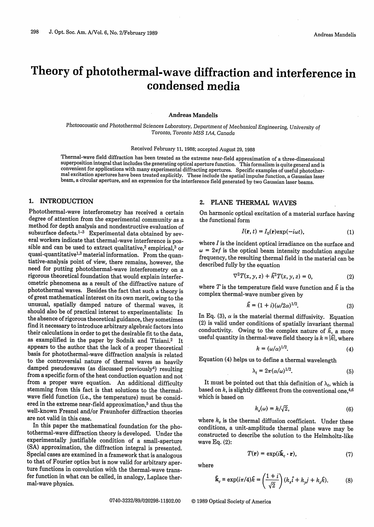# Theory of photothermal-wave diffraction and interference in condensed media

#### **Andreas Mandelis**

Photoacoustic and Photothermal Sciences Laboratory, *Department of Mechanical Engineering, University of Toronto, Toronto M5S 1A4, Canada*

Received February 11, 1988; accepted August 29, 1988

Thermal-wave field diffraction has been treated as the extreme near-field approximation of a three-dimensional superposition integral that includes the generating optical aperture function. This formalism is quite general

#### 1. INTRODUCTION

Photothermal-wave interferometry has received a certain degree of attention from the experimental community as a method for depth analysis and nondestructive evaluation of subsurface defects.<sup>1-3</sup> Experimental data obtained by several workers indicate that thermal-wave interference is possible and can be used to extract qualitative,<sup>2</sup> empirical,<sup>3</sup> or quasi-quantitative<sup>1,3</sup> material information. From the quantiative-analysis point of view, there remains, however, the need for putting photothermal-wave interferometry on a rigorous theoretical foundation that would explain interferometric phenomena as a result of the diffractive nature of photothermal waves. Besides the fact that such a theory is of great mathematical interest on its own merit, owing to the unusual, spatially damped nature of thermal waves, it should also be of practical interest to experimentalists: In the absence of rigorous theoretical guidance, they sometimes find it necessary to introduce arbitrary algebraic factors into their calculations in order to get the desirable fit to the data, as examplified in the paper by Sodnik and Tiziani.2 It appears to the author that the lack of a proper theoretical basis for photothermal-wave diffraction analysis is related to the controversial nature of thermal waves as heavily damped pseudowaves (as discussed previously<sup>4</sup>) resulting from a specific form of the heat conduction equation and not from a proper wave equation. An additional difficulty stemming from this fact is that solutions to the thermalwave field function (i.e., the temperature) must be considered in the extreme near-field approximation,<sup>5</sup> and thus the well-known Fresnel and/or Fraunhofer diffraction theories are not valid in this case.

In this paper the mathematical foundation for the photothermal-wave diffraction theory is developed. Under the experimentally justifiable condition of a small-aperture (SA) approximation, the diffraction integral is presented. Special cases are examined in a framework that is analogous to that of Fourier optics but is now valid for arbitrary aperture functions in convolution with the thermal-wave transfer function in what can be called, in analogy, Laplace thermal-wave physics.

### 2. PLANE THERMAL WAVES

On harmonic optical excitation of a material surface having the functional form

$$
I(\mathbf{r}, t) = I_0(\mathbf{r}) \exp(-i\omega t), \tag{1}
$$

where  $I$  is the incident optical irradiance on the surface and  $\omega = 2\pi f$  is the optical beam intensity modulation angular frequency, the resulting thermal field in the material can be described fully by the equation

$$
\nabla^2 T(x, y, z) + \tilde{k}^2 T(x, y, z) = 0,
$$
 (2)

where T is the temperature field wave function and  $\tilde{k}$  is the complex thermal-wave number given by

$$
\tilde{k} = (1+i)(\omega/2\alpha)^{1/2}.
$$
\n(3)

In Eq. (3),  $\alpha$  is the material thermal diffusivity. Equation (2) is valid under conditions of spatially invariant thermal conductivity. Owing to the complex nature of  $\tilde{k}$ , a more useful quantity in thermal-wave field theory is  $k \equiv |\tilde{k}|$ , where

$$
k = (\omega/\alpha)^{1/2}.
$$
 (4)

Equation (4) helps us to define a thermal wavelength

$$
\lambda_t = 2\pi (\alpha/\omega)^{1/2}.
$$
 (5)

It must be pointed out that this definition of  $\lambda_t$ , which is based on  $k$ , is slightly different from the conventional one,  $^{4,6}$ which is based on

$$
k_s(\omega) = k/\sqrt{2},\tag{6}
$$

where  $k_s$  is the thermal diffusion coefficient. Under these conditions, a unit-amplitude thermal plane wave may be constructed to describe the solution to the Helmholtz-like wave Eq. (2):

$$
T(\mathbf{r}) = \exp(i\tilde{\mathbf{k}}_c \cdot \mathbf{r}),\tag{7}
$$

where

$$
\tilde{\mathbf{k}}_c \equiv \exp(i\pi/4)\hat{k} = \left(\frac{1+i}{\sqrt{2}}\right)(k_x\hat{i} + k_yj + k_z\hat{k}).\tag{8}
$$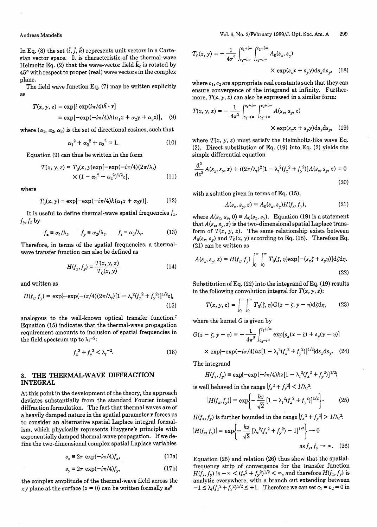In Eq. (8) the set  $(\hat{i}, \hat{j}, \hat{k})$  represents unit vectors in a Cartesian vector space. It is characteristic of the thermal-wave Helmoltz Eq. (2) that the wave-vector field  $\tilde{\mathbf{k}}_c$  is rotated by **450** with respect to proper (real) wave vectors in the complex plane.

The field wave function Eq. (7) may be written explicitly as

$$
T(x, y, z) = \exp[i \exp(i\pi/4)\hat{k} \cdot \mathbf{r}]
$$
  
= 
$$
\exp[-\exp(-i\pi/4)k(\alpha_1 x + \alpha_2 y + \alpha_3 z)],
$$
 (9)

where  $(\alpha_1, \alpha_2, \alpha_3)$  is the set of directional cosines, such that

$$
\alpha_1^2 + \alpha_2^2 + \alpha_3^2 = 1. \tag{10}
$$

Equation (9) can thus be written in the form

$$
T(x, y, z) = T_0(x, y) \exp[-\exp(-i\pi/4)(2\pi/\lambda_t)]
$$
  
 
$$
\times (1 - \alpha_1^2 - \alpha_2^2)^{1/2} z],
$$
 (11)

where

$$
T_0(x, y) = \exp[-\exp(-i\pi/4)k(\alpha_1 x + \alpha_2 y)].
$$
 (12)

It is useful to define thermal-wave spatial frequencies  $f_x$ ,  $f_y, f_z$  by

$$
f_x \equiv \alpha_1/\lambda_t, \qquad f_y \equiv \alpha_2/\lambda_t, \qquad f_z \equiv \alpha_3/\lambda_t. \tag{13}
$$

Therefore, in terms of the spatial frequencies, a thermalwave transfer function can also be defined as

$$
H(f_x, f_y) = \frac{T(x, y, z)}{T_0(x, y)}
$$
(14)

and written as

$$
H(f_x, f_y) = \exp\{-\exp(-i\pi/4)(2\pi/\lambda_t)[1 - \lambda_t^2(f_x^2 + f_y^2)]^{1/2}z\},\tag{15}
$$

analogous to the well-known optical transfer function.7 Equation (15) indicates that the thermal-wave propagation requirement amounts to inclusion of spatial frequencies in the field spectrum up to  $\lambda_t$ <sup>-2</sup>:

$$
f_x^2 + f_y^2 < \lambda_t^{-2}.\tag{16}
$$

## **3.** THE THERMAL-WAVE DIFFRACTION INTEGRAL

At this point in the development of the theory, the approach deviates substantially from the standard Fourier integral diffraction formulation. The fact that thermal waves are of a heavily damped nature in the spatial parameter r forces us to consider an alternative spatial Laplace integral formalism, which physically represents Huygens's principle with exponentially damped thermal-wave propagation. If we define the two-dimensional complex spatial Laplace variables

$$
s_x \equiv 2\pi \, \exp(-i\pi/4) f_x,\tag{17a}
$$

$$
s_{\gamma} \equiv 2\pi \, \exp(-i\pi/4) f_{\gamma},\tag{17b}
$$

the complex amplitude of the thermal-wave field across the xy plane at the surface  $(z = 0)$  can be written formally as<sup>8</sup>

$$
T_0(x, y) = -\frac{1}{4\pi^2} \int_{c_1 - i\infty}^{c_1 + i\infty} \int_{c_2 - i\infty}^{c_2 + i\infty} A_0(s_x, s_y)
$$
  
× exp(s<sub>x</sub>x + s<sub>y</sub>y)ds<sub>x</sub>ds<sub>y</sub>, (18)

where  $c_1$ ,  $c_2$  are appropriate real constants such that they can ensure convergence of the integrand at infinity. Furthermore,  $T(x, y, z)$  can also be expressed in a similar form:

$$
T(x, y, z) = -\frac{1}{4\pi^2} \int_{c_1 - i\infty}^{c_1 + i\infty} \int_{c_2 - i\infty}^{c_2 + i\infty} A(s_x, s_y, z)
$$
  
×  $\exp(s_x x + s_y y) \, ds_x \, ds_y$ , (19)

where  $T(x, y, z)$  must satisfy the Helmholtz-like wave Eq. (2). Direct substitution of Eq. (19) into Eq. (2) yields the simple differential equation

$$
\frac{d^2}{dz^2}A(s_x, s_y, z) + i(2\pi/\lambda_t)^2[1 - \lambda_t^2(f_x^2 + f_y^2)]A(s_x, s_y, z) = 0
$$
\n(20)

with a solution given in terms of Eq. (15),

$$
A(s_x, s_y, z) = A_0(s_x, s_y)H(f_x, f_y),
$$
\n(21)

where  $A(s_x, s_y, 0) \equiv A_0(s_x, s_y)$ . Equation (19) is a statement that  $A(s_x, s_y, z)$  is the two-dimensional spatial Laplace transform of  $T(x, y, z)$ . The same relationship exists between  $A_0(s_x, s_y)$  and  $T_0(x, y)$  according to Eq. (18). Therefore Eq. (21) can be written as

$$
A(s_x, s_y, z) = H(f_x, f_y) \int_0^\infty \int_0^\infty T_0(\zeta, \eta) \exp[-(s_x \zeta + s_y \eta)] d\zeta d\eta.
$$
\n(22)

Substitution of Eq. (22) into the integrand of Eq. (19) results in the following convolution integral for  $T(x, y, z)$ :

$$
T(x, y, z) = \int_0^\infty \int_0^\infty T_0(\zeta, \eta) G(x - \zeta, y - \eta) \mathrm{d}\zeta \mathrm{d}\eta,\tag{23}
$$

where the kernel  $G$  is given by

$$
G(x - \zeta, y - \eta) = -\frac{1}{4\pi^2} \int_{c_2 - i\infty}^{c_2 + i\infty} \exp[s_x(x - \zeta) + s_y(y - \eta)]
$$
  
×  $\exp\{-\exp(-i\pi/4)kz[1 - \lambda_t^2(f_x^2 + f_y^2)]^{1/2}\}ds_x ds_y.$  (24)

The integrand

$$
H(f_x, f_y) \equiv \exp\{-\exp(-i\pi/4)kz[1-\lambda_t^2(f_x^2+f_y^2)]^{1/2}\}
$$

is well behaved in the range  $|f_x^2 + f_y^2| < 1/\lambda_t^2$ :

$$
|H(f_x, f_y)| = \exp\left\{-\frac{kz}{\sqrt{2}}\left[1 - \lambda_t^2(f_x^2 + f_y^2)\right]^{1/2}\right\}.
$$
 (25)

 $H(f_x, f_y)$  is further bounded in the range  $|f_x^2 + f_y^2| > 1/\lambda_t^2$ .

$$
|H(f_x, f_y)| = \exp\left\{-\frac{kz}{\sqrt{2}} \left[\lambda_t^2 (f_x^2 + f_y^2) - 1\right]^{1/2}\right\} \to 0
$$
  
as  $f_x, f_y \to \infty$ . (26)

Equation (25) and relation (26) thus show that the spatialfrequency strip of convergence for the transfer function  $H(f_x, f_y)$  is  $-\infty < (f_x^2 + f_y^2)^{1/2} < \infty$ , and therefore  $H(f_x, f_y)$  is analytic everywhere, with a branch cut extending between  $-1 \le \lambda_t (f_x^2 + f_y^2)^{1/2} \le +1$ . Therefore we can set  $c_1 = c_2 = 0$  in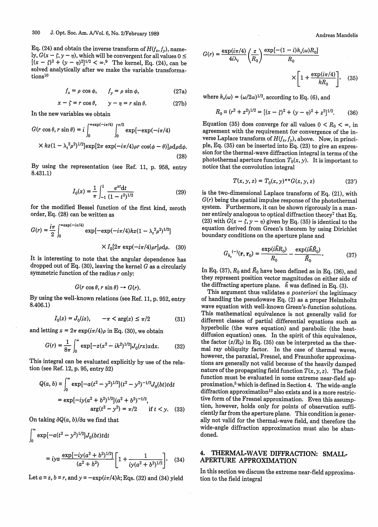Eq. (24) and obtain the inverse transform of  $H(f_x, f_y)$ , namely,  $G(x - \zeta, y - \eta)$ , which will be convergent for all values  $0 \leq$  $[(x - \zeta)^2 + (y - \eta)^2]^{1/2} < \infty$ .<sup>9</sup> The kernel, Eq. (24), can be solved analytically after we make the variable transformations<sup>10</sup>

$$
f_x = \rho \cos \phi, \qquad f_y = \rho \sin \phi, \tag{27a}
$$

$$
x - \zeta = r \cos \theta, \qquad y - \eta = r \sin \theta. \tag{27b}
$$

In the new variables we obtain

$$
G(r\cos\theta, r\sin\theta) = i \int_0^{\infty} \exp(-i\pi/4) \int_0^{\pi/2} \exp[-\exp(-i\pi/4)]
$$
  
× $kz(1 - \lambda_t^2 \rho^2)^{1/2} \exp[2\pi \exp(-i\pi/4)\rho r \cos(\phi - \theta)] \rho d\rho d\phi.$  (28)

By using the representation (see Ref. 11, p. 958, entry 8.431.1)

$$
I_0(x) = \frac{1}{\pi} \int_{-1}^1 \frac{e^{xt} dt}{(1 - t^2)^{1/2}}
$$
 (29)

for the modified Bessel function of the first kind, zeroth order, Eq. (28) can be written as

$$
G(r) = \frac{i\pi}{2} \int_0^{\infty} \exp(-i\pi/4) \exp[-\exp(-i\pi/4)kz(1 - \lambda_t^2 \rho^2)^{1/2}]
$$

$$
\times I_0[2\pi \exp(-i\pi/4)\rho r]\rho d\rho. \quad (30)
$$

It is interesting to note that the angular dependence has i dropped out of Eq. (30), leaving the kernel  $G$  as a circularly symmetric function of the radius  $r$  only:

$$
G(r\cos\theta, r\sin\theta) \rightarrow G(r).
$$

By using the well-known relations (see Ref. 11, p. 952, entry 8.406.1)

$$
I_0(z) = J_0(iz), \qquad -\pi < \arg(z) \le \pi/2 \tag{31}
$$

and letting  $x = 2\pi \exp(i\pi/4)\rho$  in Eq. (30), we obtain

$$
G(r) = \frac{1}{8\pi} \int_0^\infty \exp[-z(x^2 - ik^2)^{1/2}] J_0(rx)x \, dx. \tag{32}
$$

This integral can be evaluated explicitly by use of the relation (see Ref. 12, p. 95, entry 52)

$$
Q(a, b) = \int_0^{\infty} \exp[-a(t^2 - y^2)^{1/2}](t^2 - y^2)^{-1/2} J_0(bt) t dt
$$
  
=  $\exp[-iy(a^2 + b^2)^{1/2}](a^2 + b^2)^{-1/2},$   
 $\arg(t^2 - y^2) = \pi/2$  if  $t < y$ . (33)

On taking  $\partial Q(a, b)/\partial a$  we find that

$$
\int_0^\infty \exp[-a(t^2 - y^2)^{1/2}]J_0(bt)tdt
$$
  
=  $iya \frac{\exp[-iy(a^2 + b^2)^{1/2}]}{(a^2 + b^2)} \left[1 + \frac{1}{iy(a^2 + b^2)^{1/2}}\right].$  (34)

Let  $a \equiv z$ ,  $b \equiv r$ , and  $y \equiv -e^{i\pi/4}k$ ; Eqs. (32) and (34) yield

Andreas Mandelis

$$
G(r) = \frac{\exp(i\pi/4)}{4i\lambda_t} \left(\frac{z}{R_0}\right) \frac{\exp[-(1-i)k_s(\omega)R_0]}{R_0}
$$

$$
\times \left[1 + \frac{\exp(i\pi/4)}{kR_0}\right], \quad (35)
$$

where  $k_s(\omega) = (\omega/2\alpha)^{1/2}$ , according to Eq. (6), and

$$
R_0 \equiv (r^2 + z^2)^{1/2} = [(x - \zeta)^2 + (y - \eta)^2 + z^2]^{1/2}.
$$
 (36)

Equation (35) does converge for all values  $0 < R_0 < \infty$ , in agreement with the requirement for convergence of the inverse Laplace transform of  $H(f_x, f_y)$ , above. Now, in principle, Eq. (35) can be inserted into Eq. (23) to give an expression for the thermal-wave diffraction integral in terms of the photothermal aperture function  $T_0(x, y)$ . It is important to notice that the convolution integral

$$
T(x, y, z) = T_0(x, y)^{**} G(x, y, z)
$$
 (23')

is the two-dimensional Laplace transform of Eq. (21), with  $G(r)$  being the spatial impulse response of the photothermal system. Furthermore, it can be shown rigorously in a manner entirely analogous to optical diffraction theory<sup>7</sup> that Eq. (23) with  $G(x - \zeta, y - \eta)$  given by Eq. (35) is identical to the equation derived from Green's theorem by using Dirichlet boundary conditions on the aperture plane and

$$
G_{k_c}^{(-)}(\mathbf{r}, \mathbf{r}_0) = \frac{\exp(i\tilde{k}R_0)}{R_0} - \frac{\exp(i\tilde{k}\tilde{R}_0)}{\tilde{R}_0}.
$$
 (37)

In Eq. (37),  $R_0$  and  $\tilde{R}_0$  have been defined as in Eq. (36), and they represent position vector magnitudes on either side of the diffracting aperture plane.  $\bar{k}$  was defined in Eq. (3).

This argument thus validates a *posteriori* the legitimacy of handling the pseudowave Eq. (2) as a proper Helmholtz wave equation with well-known Green's-function solutions. This mathematical equivalence is not generally valid for different classes of partial differential equations such as hyperbolic (the wave equation) and parabolic (the heatdiffusion equation) ones. In the spirit of this equivalence, the factor  $(z/R_0)$  in Eq. (35) can be interpreted as the thermal ray obliquity factor. In the case of thermal waves, however, the paraxial, Fresnel, and Fraunhofer approximations are generally not valid because of the heavily damped nature of the propagating field function  $T(x, y, z)$ . The field function must be evaluated in some extreme near-field approximation,<sup>5</sup> which is defined in Section 4. The wide-angle diffraction approximation<sup>13</sup> also exists and is a more restrictive form of the Fresnel approximation. Even this assumption, however, holds only for points of observation sufficiently far from the aperture plane. This condition is generally not valid for the thermal-wave field, and therefore the wide-angle diffraction approximation must also be abandoned.

### 4. **THERMAL-WAVE DIFFRACTION: SMALL-APERTURE APPROXIMATION**

In this section we discuss the extreme near-field approximation to the field integral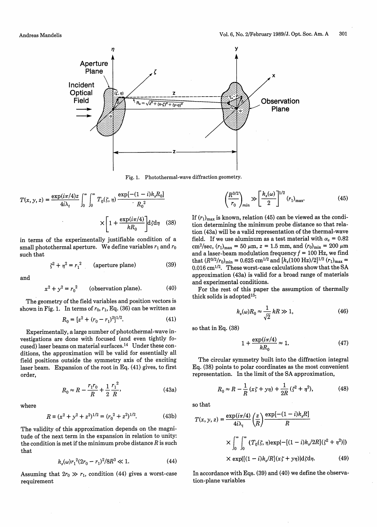

Fig. 1. Photothermal-wave diffraction geometry.

$$
T(x, y, z) = \frac{\exp(i\pi/4)z}{4i\lambda_t} \int_0^\infty \int_0^\infty T_0(\zeta, \eta) \frac{\exp[-(1-i)k_s R_0]}{R_0^2}
$$

$$
\times \left[1 + \frac{\exp(i\pi/4)}{kR_0}\right] d\zeta d\eta \quad (38)
$$

in terms of the experimentally justifiable condition of a small photothermal aperture. We define variables  $r_1$  and  $r_0$ such that

$$
\zeta^2 + \eta^2 = r_1^2 \qquad \text{(aperture plane)} \tag{39}
$$

and

$$
x2 + y2 = r02
$$
 (observation plane). (40)

The geometry of the field variables and position vectors is shown in Fig. 1. In terms of  $r_0$ ,  $r_1$ , Eq. (36) can be written as

$$
R_0 = [z^2 + (r_0 - r_1)^2]^{1/2}.
$$
 (41)

Experimentally, a large number of photothermal-wave investigations are done with focused (and even tightly focused) laser beams on material surfaces.<sup>14</sup> Under these conditions, the approximation will be valid for essentially all field positions outside the symmetry axis of the exciting laser beam. Expansion of the root in Eq. (41) gives, to first order,

$$
R_0 \approx R - \frac{r_1 r_0}{R} + \frac{1}{2} \frac{r_1^2}{R},
$$
\n(43a)

where

$$
R \equiv (x^2 + y^2 + z^2)^{1/2} = (r_0^2 + z^2)^{1/2}.
$$
 (43b)

The validity of this approximation depends on the magnitude of the next term in the expansion in relation to unity: the condition is met if the minimum probe distance  $R$  is such that

$$
k_s(\omega)r_1^2(2r_0 - r_1)^2/8R^3 \ll 1.
$$
 (44)

Assuming that  $2r_0 \gg r_1$ , condition (44) gives a worst-case requirement

$$
\zeta, \eta \xrightarrow{\exp[-(1-i)k_s R_0]} R_0^2 \qquad \qquad \left(\frac{R^{3/2}}{r_0}\right)_{\text{min}} \gg \left[\frac{k_s(\omega)}{2}\right]^{1/2} (r_1)_{\text{max}}.\tag{45}
$$

If  $(r_1)_{\text{max}}$  is known, relation (45) can be viewed as the condition determining the minimum probe distance so that relation (43a) will be a valid representation of the thermal-wave field. If we use aluminum as a test material with  $\alpha_s = 0.82$ cm<sup>2</sup>/sec,  $(r_1)_{\text{max}} = 50 \ \mu \text{m}$ ,  $z = 1.5 \ \text{mm}$ , and  $(r_0)_{\text{min}} = 200 \ \mu \text{m}$ and a laser-beam modulation frequency  $f = 100$  Hz, we find that  $(R^{3/2}/r_0)_{\text{min}} = 0.625 \text{ cm}^{1/2} \text{ and } [k_s(100 \text{ Hz})/2]^{1/2} (r_1)_{\text{max}} =$  $0.016$  cm<sup>1/2</sup>. These worst-case calculations show that the SA approximation (43a) is valid for a broad range of materials and experimental conditions.

For the rest of this paper the assumption of thermally thick solids is adopted<sup>15</sup>:

$$
k_s(\omega)R_0 \approx \frac{1}{\sqrt{2}}kR \gg 1,\tag{46}
$$

so that in Eq. (38)

$$
1 + \frac{\exp(i\pi/4)}{kR_0} \approx 1.
$$
 (47)

The circular symmetry built into the diffraction integral Eq. (38) points to polar coordinates as the most convenient representation. In the limit of the SA approximation,

$$
R_0 \approx R - \frac{1}{R} (x\zeta + y\eta) + \frac{1}{2R} (\zeta^2 + \eta^2),
$$
 (48)

so that

$$
T(x, y, z) = \frac{\exp(i\pi/4)}{4i\lambda_t} \left(\frac{z}{R}\right) \frac{\exp[-(1-i)k_s R]}{R}
$$

$$
\times \int_0^\infty \int_0^\infty \left(T_0(\zeta, \eta) \exp[-[(1-i)k_s/2R](\zeta^2 + \eta^2)]\right)
$$

$$
\times \exp\{[(1-i)k_s/R](x\zeta + y\eta)\}d\zeta d\eta. \tag{49}
$$

In accordance with Eqs. (39) and (40) we define the observation-plane variables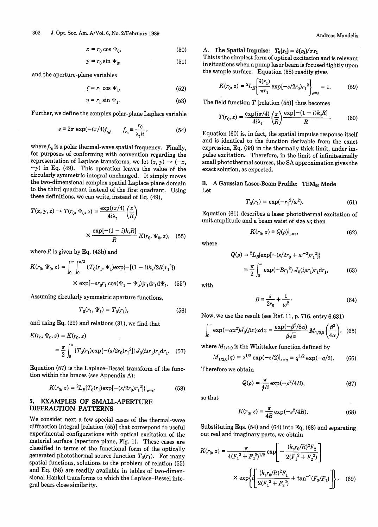$$
x = r_0 \cos \Psi_0,\tag{50}
$$

$$
y = r_0 \sin \Psi_0,\tag{51}
$$

and the aperture-plane variables

$$
\zeta = r_1 \cos \Psi_1,\tag{52}
$$

$$
\eta = r_1 \sin \Psi_1. \tag{53}
$$

Further, we define the complex polar-plane Laplace variable

$$
s = 2\pi \exp(-i\pi/4) f_{r_0}, \qquad f_{r_0} = \frac{r_0}{\lambda_t R}, \qquad (54)
$$

where  $f_{r_0}$  is a polar thermal-wave spatial frequency. Finally, for purposes of conforming with convention regarding the representation of Laplace transforms, we let  $(x, y) \rightarrow (-x,$  $-y$ ) in Eq. (49). This operation leaves the value of the circularly symmetric integral unchanged. It simply moves the two-dimensional complex spatial Laplace plane domain to the third quadrant instead of the first quadrant. Using these definitions, we can write, instead of Eq. (49),

$$
T(x, y, z) \rightarrow T(r_0, \Psi_0, z) = \frac{\exp(i\pi/4)}{4i\lambda_t} \left(\frac{z}{R}\right)
$$

$$
\times \frac{\exp[-(1-i)k_s R]}{R} K(r_0, \Psi_0, z), \quad (55)
$$

where  $R$  is given by Eq. (43b) and

$$
K(r_0, \Psi_0, z) = \int_0^\infty \int_0^{\pi/2} (T_0(r_1, \Psi_1) \exp\{-[(1-i)k_s/2R]r_1^2\})
$$

$$
\times \exp[-sr_0r_1\cos(\Psi_1 - \Psi_0)]r_1\mathrm{d}r_1\mathrm{d}\Psi_1. \quad (55')
$$

Assuming circularly symmetric aperture functions,

$$
T_0(r_1, \Psi_1) = T_0(r_1), \tag{56}
$$

and using Eq. (29) and relations (31), we find that

$$
K(r_0, \Psi_0, z) = K(r_0, z)
$$
  
= 
$$
\frac{\pi}{2} \int_0^\infty \{T_0(r_1) \exp[-(s/2r_0)r_1^2]\} J_0(isr_1)r_1 dr_1.
$$
 (57)

Equation (57) is the Laplace-Bessel transform of the function within the braces (see Appendix A):

$$
K(r_0, z) = {}^{2}L_B[T_0(r_1)\exp[-(s/2r_0)r_1^2]]|_{a=s}.
$$
 (58)

#### 5. EXAMPLES **OF SMALL-APERTURE DIFFRACTION PATTERNS**

We consider next a few special cases of the thermal-wave diffraction integral [relation (55)] that correspond to useful experimental configurations with optical excitation of the material surface (aperture plane, Fig. 1). These cases are classified in terms of the functional form of the optically generated photothermal source function  $T_0(r_1)$ . For many spatial functions, solutions to the problem of relation (55) and Eq. (58) are readily available in tables of two-dimensional Hankel transforms to which the Laplace-Bessel integral bears close similarity.

A. The Spatial Impulse:  $T_0(r_1) = \delta(r_1)/\pi r_1$ 

This is the simplest form of optical excitation and is relevant in situations when a pump laser beam is focused tightly upon the sample surface. Equation (58) readily gives

$$
K(r_0, z) = {}^{2}L_B \left\{ \frac{\delta(r_1)}{\pi r_1} \exp\left[-s/2r_0\right) r_1^2 \right\}_{\rho=s} = 1. \tag{59}
$$

The field function  $T$  [relation (55)] thus becomes

$$
T(r_0, z) = \frac{\exp(i\pi/4)}{4i\lambda_t} \left(\frac{z}{R}\right) \frac{\exp[-(1-i)k_s R]}{R}.\tag{60}
$$

Equation (60) is, in fact, the spatial impulse response itself and is identical to the function derivable from the exact expression, Eq. (38) in the thermally thick limit, under impulse excitation. Therefore, in the limit of infinitesimally small photothermal sources, the SA approximation gives the exact solution, as expected.

#### **B.** A Gaussian Laser-Beam Profile: TEM<sub>00</sub> Mode Let

$$
T_0(r_1) = \exp(-r_1^2/w^2). \tag{61}
$$

 $K(r_0, z) = Q(\rho)|_{\rho=s}$  (62)

Equation (61) describes a laser photothermal excitation of unit amplitude and a beam waist of size  $w$ ; then

where

with

$$
Q(\rho) = {}^{2}L_{B}[\exp[-(s/2r_{0} + w^{-2})r_{1}^{2}]]
$$
  
=  $\frac{\pi}{2} \int_{0}^{\infty} \exp(-Br_{1}^{2}) J_{0}(i\rho r_{1})r_{1} dr_{1},$  (63)

$$
\mathcal{L}^{\mathcal{L}}(\mathcal{L}^{\mathcal{L}}(\mathcal{L}^{\mathcal{L}}))
$$

$$
B \equiv \frac{s}{2r_0} + \frac{1}{w^2}.\tag{64}
$$

Now, we use the result (see Ref. 11, p. 716, entry 6.631)

$$
\int_0^\infty \exp(-\alpha x^2) J_0(\beta x) x \, dx = \frac{\exp(-\beta^2/8\alpha)}{\beta\sqrt{\alpha}} M_{1/2,0}\left(\frac{\beta^2}{4\alpha}\right), \tag{65}
$$

where  $M_{1/2,0}$  is the Whittaker function defined by

$$
M_{1/2,0}(q) = z^{1/2} \exp(-z/2)|_{z=q} = q^{1/2} \exp(-q/2). \tag{66}
$$

Therefore we obtain

$$
Q(\rho) = \frac{\pi}{4B} \exp(-\rho^2/4B),
$$
 (67)

so that

$$
K(r_0, z) = \frac{\pi}{4B} \exp(-s^2/4B). \tag{68}
$$

Substituting Eqs. (54) and (64) into Eq. (68) and separating out real and imaginary parts, we obtain

$$
K(r_0, z) = \frac{\pi}{4(F_1^2 + F_2^2)^{1/2}} \exp\left[-\frac{(k_s r_0/R)^2 F_2}{2(F_1^2 + F_2^2)}\right]
$$

$$
\times \exp\left\{i\left[\frac{(k_s r_0/R)^2 F_1}{2(F_1^2 + F_2^2)} + \tan^{-1}(F_2/F_1)\right]\right\}, \quad (69)
$$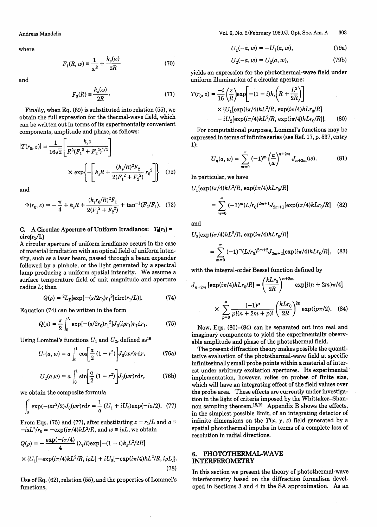where

$$
F_1(R, w) = \frac{1}{w^2} + \frac{k_s(\omega)}{2R}
$$
 (70)

and

$$
F_2(R) \equiv \frac{k_s(\omega)}{2R}.\tag{71}
$$

Finally, when Eq. (69) is substituted into relation (55), we obtain the full expression for the thermal-wave field, which can be written out in terms of its experimentally convenient components, amplitude and phase, as follows:

$$
|T(r_0, z)| = \frac{1}{16\sqrt{2}} \left[ \frac{k_s z}{R^2 (F_1^2 + F_2^2)^{1/2}} \right]
$$

$$
\times \exp \left\{ - \left[ k_s R + \frac{(k_s/R)^2 F_2}{2(F_1^2 + F_2^2)} r_0^2 \right] \right\} \quad (72)
$$

and

$$
\Psi(r_0, z) = -\frac{\pi}{4} + k_s R + \frac{(k_s r_0 / R)^2 F_1}{2(F_1^2 + F_2^2)} + \tan^{-1}(F_2 / F_1). \tag{73}
$$

**C.** A Circular Aperture of Uniform Irradiance:  $T_0(r_1)$  =  $circ(r_1/L)$ 

A circular aperture of uniform irradiance occurs in the case of material irradiation with an optical field of uniform intensity, such as a laser beam, passed through a beam expander followed by a pinhole, or the light generated by a spectral lamp producing a uniform spatial intensity. We assume a surface temperature field of unit magnitude and aperture radius *L;* then

$$
Q(\rho) = {}^{2}L_{B}(\exp[-(s/2r_{0})r_{1}^{2}]\text{circ}(r_{1}/L)).
$$
 (74)

Equation (74) can be written in the form

$$
Q(\rho) = \frac{\pi}{2} \int_0^L \exp[-(s/2r_0)r_1^2] J_0(i\rho r_1) r_1 dr_1.
$$
 (75)

Using Lommel's functions  $U_1$  and  $U_2$ , defined as<sup>16</sup>

$$
U_1(a, w) = a \int_0^1 \cos \left[ \frac{a}{2} (1 - r^2) \right] J_0(wr) r \, dr,
$$
 (76a)

$$
U_2(a,w) = a \int_0^1 \sin \left[ \frac{a}{2} (1 - r^2) \right] J_0(wr) r dr,
$$
 (76b)

we obtain the composite formula

$$
\int_0^1 \exp(-iar^2/2)J_0(wr)rdr = \frac{1}{a}(U_1 + iU_2)\exp(-ia/2). \tag{77}
$$

From Eqs. (75) and (77), after substituting  $x \equiv r_1/L$  and  $a \equiv$  $-isL^2/r_0 = -\exp(i\pi/4)kL^2/R$ , and  $w \equiv i\rho L$ , we obtain

$$
Q(\rho) = -\frac{\exp(-i\pi/4)}{4} (\lambda_t R) \exp[-(1-i)k_s L^2/2R]
$$
  
 
$$
\times \{U_1[-\exp(i\pi/4)kL^2/R, i\rho L] + iU_2[-\exp(i\pi/4)kL^2/R, i\rho L]\}.
$$
 (78)

Use of Eq. (62), relation (55), and the properties of Lommel's functions,

Vol. 6, No. 2/February 1989/J. Opt. Soc. Am. A 303

$$
U_1(-a, w) = -U_1(a, w), \tag{79a}
$$

$$
U_2(-a, w) = U_2(a, w), \tag{79b}
$$

yields an expression for the photothermal-wave field under uniform illumination of a circular aperture;

(71) 
$$
T(r_0, z) = \frac{-i}{16} \left( \frac{z}{R} \right) \exp\left[ -(1 - i) k_s \left( R + \frac{L^2}{2R} \right) \right]
$$
  
, we 
$$
\times \{ U_1 [\exp(i\pi/4) k L^2 / R, \exp(i\pi/4) k L r_0 / R \} - i U_2 [\exp(i\pi/4) k L^2 / R, \exp(i\pi/4) k L r_0 / R ] \}.
$$
 (80)

For computational purposes, Lommel's functions may be expressed in terms of infinite series (see Ref. 17, p. 537, entry 1):

$$
U_n(a, w) = \sum_{m=0}^{\infty} (-1)^m \left(\frac{a}{w}\right)^{n+2m} J_{n+2m}(w).
$$
 (81)

In particular, we have

$$
U_1[\exp(i\pi/4)kL^2/R, \exp(i\pi/4)kLr_0/R]
$$
  
= 
$$
\sum_{m=0}^{\infty} (-1)^m (L/r_0)^{2m+1} J_{2m+1}[\exp(i\pi/4)kLr_0/R]
$$
 (82)

and

 $U_2[\exp(i\pi/4)kL^2/R,\, \exp(i\pi/4)kLr_0/R]$ 

$$
= \sum_{m=0}^{\infty} (-1)^m (L/r_0)^{2m+2} J_{2m+2}[\exp(i\pi/4)k L r_0/R], \quad (83)
$$

with the integral-order Bessel function defined by

$$
J_{n+2m} \left[ \exp(i\pi/4) k L r_0/R \right] = \left( \frac{k L r_0}{2R} \right)^{n+2m} \exp[i(n+2m)\pi/4]
$$

$$
\times \sum_{p=0}^{\infty} \frac{(-1)^p}{p!(n+2m+p)!} \left(\frac{kLr_0}{2R}\right)^{2p} \exp(ip\pi/2). \quad (84)
$$

Now, Eqs. (80)-(84) can be separated out into real and imaginary components to yield the experimentally observable amplitude and phase of the photothermal field.

The present diffraction theory makes possible the quantitative evaluation of the photothermal-wave field at specific infinitesimally small probe points within a material of interest under arbitrary excitation apertures. Its experimental implementation, however, relies on probes of finite size, which will have an integrating effect of the field values over the probe area. These effects are currently under investigation in the light of criteria imposed by the Whittaker-Shannon sampling theorem.18,19 Appendix B shows the effects, in the simplest possible limit, of an integrating detector of infinite dimensions on the  $T(x, y, z)$  field generated by a spatial photothermal impulse in terms of a complete loss of resolution in radial directions.

#### 6. PHOTOTHERMAL-WAVE INTERFEROMETRY

In this section we present the theory of photothermal-wave interferometry based on the diffraction formalism developed in Sections 3 and 4 in the SA approximation. As an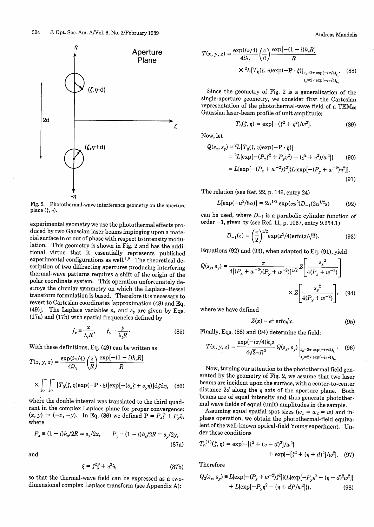

Fig. 2. Photothermal-wave interference geometry on the aperture plane  $(\zeta, \eta)$ .

experimental geometry we use the photothermal effects duced by two Gaussian laser beams impinging upon a material surface in or out of phase with respect to intensity m lation. This geometry is shown in Fig. 2 and has the additional virtue that it essentially represents published experimental configurations as well.<sup>1,2</sup> The theoretical description of two diffracting apertures producing interfering thermal-wave patterns requires a shift of the origin of the polar coordinate system. This operation unfortunately destroys the circular symmetry on which the Laplace-B transform formulation is based. Therefore it is necessa revert to Cartesian coordinates [approximation (48) and Eq. (49)]. The Laplace variables  $s_x$  and  $s_y$  are given by Eqs. (17a) and (17b) with spatial frequencies defined by

$$
f_x \equiv \frac{x}{\lambda_t R}, \qquad f_y \equiv \frac{y}{\lambda_t R}.
$$
 (85)

With these definitions, Eq. (49) can be written as

$$
T(x, y, z) = \frac{\exp(i\pi/4)}{4i\lambda_t} \left(\frac{z}{R}\right) \frac{\exp[-(1-i)k_s R]}{R}
$$

$$
\times \int_0^\infty \int_0^\infty [T_0(\zeta, \eta) \exp(-\mathbf{P} \cdot \zeta)] \exp[-(s_x \zeta + s_y \eta)] d\zeta d\eta, \quad (86)
$$

where the double integral was translated to the third quadrant in the complex Laplace plane for proper convergence:  $(x, y) \rightarrow (-x, -y)$ . In Eq. (86) we defined  $P = P_x \hat{\zeta} + P_y \hat{\eta}$ , where

$$
P_x \equiv (1 - i)k_s/2R = s_x/2x, \qquad P_y \equiv (1 - i)k_s/2R = s_y/2y,
$$
\n(87a)

and

$$
\xi = \zeta^2 \hat{\zeta} + \eta^2 \hat{\eta},\tag{87b}
$$

so that the thermal-wave field can be expressed as a twodimensional complex Laplace transform (see Appendix A):

$$
T(x, y, z) = \frac{\exp(i\pi/4)}{4i\lambda_t} \left(\frac{z}{R}\right) \frac{\exp[-(1-i)k_s R]}{R}
$$

$$
\times {}^{2}L[T_0(\zeta, \eta) \exp(-\mathbf{P} \cdot \xi)]_{s_x = 2\pi \exp(-i\pi/4)_{f_x}}.
$$
(88)

Since the geometry of Fig. 2 is a generalization of the single-aperture geometry, we consider first the Cartesian representation of the photothermal-wave field of a  $TEM_{00}$ Gaussian laser-beam profile of unit amplitude:

$$
T_0(\zeta, \eta) = \exp[-(\zeta^2 + \eta^2)/w^2].
$$
 (89)

Now, let

$$
Q(s_x, s_y) = {}^2L[T_0(\zeta, \eta) \exp(-\mathbf{P} \cdot \xi)]
$$
  
=  ${}^2L[\exp[-(P_x \zeta^2 + P_y \eta^2) - (\zeta^2 + \eta^2)/w^2]]$  (90)  
=  $L[\exp[-(P_x + w^{-2})\zeta^2]]L[\exp[-(P_y + w^{-2})\eta^2]]$ . (91)

The relation (see Ref. 22, p. 146, entry 24)

$$
L[\exp(-u^2/8\alpha)] = 2\alpha^{1/2} \exp(\alpha s^2) D_{-1}(2\alpha^{1/2} s)
$$
 (92)

can be used, where  $D_{-1}$  is a parabolic cylinder function of order -1, given by (see Ref. 11, p. 1067, entry 9.254.1)

$$
D_{-1}(z) = \left(\frac{\pi}{2}\right)^{1/2} \exp(z^2/4) \operatorname{erfc}(z/\sqrt{2}).\tag{93}
$$

Equations (92) and (93), when adapted to Eq. (91), yield

d de-  
\n
$$
Q(s_x, s_y) = \frac{\pi}{4[(P_x + w^{-2})(P_y + w^{-2})]^{1/2}} Z \left[ \frac{s_x^2}{4(P_x + w^{-2})} \right]
$$
\n
$$
y \text{ de-}
$$
\n
$$
y \text{ to}
$$
\n
$$
x \times Z \left[ \frac{s_y^2}{4(P_y + w^{-2})} \right], \quad (94)
$$
\n
$$
y \text{ to}
$$

where we have defined

$$
Z(x) \equiv e^x \operatorname{erfc}\sqrt{x}.\tag{95}
$$

(85) Finally, Eqs. (88) and (94) determine the field:

$$
T(x, y, z) = \frac{\exp(-i\pi/4)k_z z}{4\sqrt{2}\pi R^2} Q(s_x, s_y) \Big|_{\substack{s_x = 2\pi \exp(-i\pi/4)_{f_x} \ x \exp(-i\pi/4)_{f_x}}} \tag{96}
$$

Now, turning our attention to the photothermal field generated by the geometry of Fig. 2, we assume that two laser beams are incident upon the surface, with a center-to-center distance  $2d$  along the  $\eta$  axis of the aperture plane. Both beams are of equal intensity and thus generate photothermal wave fields of equal (unit) amplitudes in the sample.

Assuming equal spatial spot sizes  $(w_1 = w_2 = w)$  and in-<br>phase operation, we obtain the photothermal-field equivalent of the well-known optical-field Young experiment. Under these conditions

$$
T_0^{(+)}(\zeta, \eta) = \exp\{-[\zeta^2 + (\eta - d)^2]/\omega^2\} + \exp\{-[\zeta^2 + (\eta + d)^2]/\omega^2\}.
$$
 (97)

**Therefore** 

$$
Q_2(s_x, s_y) = L[\exp[-(P_x + w^{-2})\xi^2]]\langle L[\exp[-P_y \eta^2 - (\eta - d)^2 w^2]]
$$
  
+ L[\exp[-P\_y \eta^2 - (\eta + d)^2/w^2]]). (98)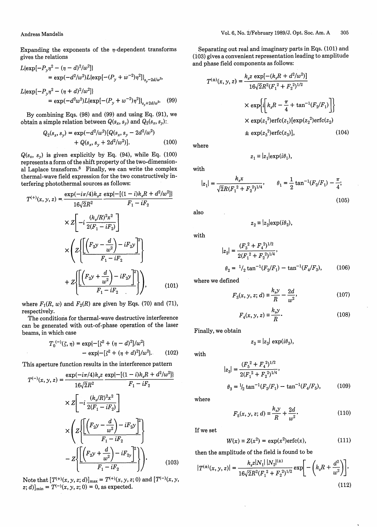Expanding the exponents of the  $\eta$ -dependent transforms gives the relations

$$
L\{\exp[-P_y\eta^2 - (\eta - d)^2/w^2]\}
$$
  
=  $\exp(-d^2/w^2)L\{\exp[-(P_y + w^{-2})\eta^2]\}_{s_y = 2d/w^2}$ ,

$$
L\{\exp[-P_y\eta^2 - (\eta + d)^2/w^2]\}
$$
  
=  $\exp(-d^2w^2)L\{\exp[-(P_y + w^{-2})\eta^2]\}_{s_y + 2d/w^2}$ . (99)

By combining Eqs. (98) and (99) and using Eq. (91), we obtain a simple relation between  $Q(s_x, s_y)$  and  $Q_2(s_x, s_y)$ :

$$
Q_2(s_x, s_y) = \exp(-d^2/w^2) [Q(s_x, s_y - 2d^2/w^2) + Q(s_x, s_y + 2d^2/w^2)].
$$
\n(100)

 $Q(s_x, s_y)$  is given explicitly by Eq. (94), while Eq. (100) represents a form of the shift property of the two-dimensional Laplace transform.8 Finally, we can write the complex thermal-wave field expression for the two constructively interfering photothermal sources as follows:

$$
T^{(+)}(x, y, z) = \frac{\exp(-i\pi/4)k_z z}{16\sqrt{2}R^2} \frac{\exp\{ -[(1-i)k_zR + d^2/w^2] \}}{F_1 - iF_2}
$$
  
 
$$
\times Z \left[ -i \frac{(k_z/R)^2 x^2}{2(F_1 - iF_2)} \right]
$$
  
 
$$
\times \left( Z \left\{ \frac{\left[ \left( F_2 y - \frac{d}{w^2} \right) - iF_2 y \right]^2}{F_1 - iF_2} \right\} + Z \left\{ \frac{\left[ \left( F_2 y + \frac{d}{w^2} \right) - iF_2 y \right]^2}{F_1 - iF_2} \right\} \right), \qquad (101)
$$

where  $F_1(R, w)$  and  $F_2(R)$  are given by Eqs. (70) and (71), respectively.

The conditions for thermal-wave destructive interference can be generated with out-of-phase operation of the laser beams, in which case

$$
T_0^{(-)}(\zeta, \eta) = \exp\{-\left[\zeta^2 + (\eta - d)^2\right]/\omega^2\}
$$
  
- 
$$
\exp\{-\left[\zeta^2 + (\eta + d)^2\right]/\omega^2\}.
$$
 (102)

This aperture function results in the interference pattern

$$
T^{(-)}(x, y, z) = \frac{\exp(-i\pi/4)k_{s}z}{16\sqrt{2}R^{2}} \frac{\exp\{ -[(1-i)k_{s}R + d^{2}/w^{2}]\}}{F_{1} - iF_{2}}
$$
  
 
$$
\times Z \left[ -i \frac{(k_{s}/R)^{2}x^{2}}{2(F_{1} - iF_{2})} \right]
$$
  
 
$$
\times \left( Z \left\{ \frac{\left[ \left( F_{2}y - \frac{d}{w^{2}} \right) - iF_{2}y \right]^{2}}{F_{1} - iF_{2}} \right\} - Z \left\{ \frac{\left[ \left( F_{2}y + \frac{d}{w^{2}} \right) - iF_{2}y \right]^{2}}{F_{1} - iF_{2}} \right\} \right\}.
$$
 (103)

Note that  $[T^{(+)}(x, y, z; d)]_{\text{max}} = T^{(+)}(x, y, z; 0)$  and  $[T^{(-)}(x, y, z; d)]_{\text{max}} = T^{(+)}(x, y, z; 0)$  $[z; d]_{\min} = T^{-1}(x, y, z; 0) = 0$ , as expected.

Separating out real and imaginary parts in Eqs. (101) and (103) gives a convenient representation leading to amplitude and phase field components as follows:

$$
T^{(\pm)}(x, y, z) = \frac{k_s z \exp[-(k_s R + d^2/\omega^2)]}{16\sqrt{2}R^2(F_1^2 + F_2^2)^{1/2}}
$$
  
 
$$
\times \exp\left\{i\left[k_s R - \frac{\pi}{4} + \tan^{-1}(F_2/F_1)\right]\right\}
$$
  
 
$$
\times \exp(z_1^2) \text{erfc}(z_1) [\exp(z_2^2) \text{erfc}(z_2)
$$
  
 
$$
\pm \exp(z_3^2) \text{erfc}(z_3)], \qquad (104)
$$

where

with

$$
z_1 = |z_1| \exp(i\theta_1),
$$

$$
|z_1| = \frac{k_s x}{\sqrt{2}R(F_1^2 + F_2^2)^{1/4}}, \qquad \theta_1 = \frac{1}{2} \tan^{-1}(F_2/F_1) - \frac{\pi}{4};
$$
\n(105)

also

$$
z_2 = |z_2| \exp(i\theta_2)
$$

with

$$
|z_2| = \frac{(F_3^2 + F_4^2)^{1/2}}{2(F_1^2 + F_2^2)^{1/4}},
$$
  
\n
$$
\theta_2 = \frac{1}{2} \tan^{-1}(F_2/F_1) - \tan^{-1}(F_4/F_3),
$$
 (106)

where we defined

$$
F_3(x, y, z; d) \equiv \frac{k_s y}{R} - \frac{2d}{w^2},
$$
 (107)

$$
F_4(x, y, z) \equiv \frac{k_s y}{R}.
$$
\n(108)

Finally, we obtain

$$
z_3 \equiv |z_3| \, \exp(i\theta_3),
$$

with

$$
|z_3| = \frac{(F_5^2 + F_4^2)^{1/2}}{2(F_1^2 + F_2^2)^{1/4}},
$$
  
\n
$$
\theta_3 = \frac{1}{2} \tan^{-1}(F_2/F_1) - \tan^{-1}(F_4/F_5),
$$
 (109)

where

$$
F_5(x, y, z; d) \equiv \frac{k_s y}{R} + \frac{2d}{w^2}.
$$
 (110)

If we set

$$
W(x) \equiv Z(x^2) = \exp(x^2) \operatorname{erfc}(x), \tag{111}
$$

then the amplitude of the field is found to be

$$
|T^{(\pm)}(x, y, z)| = \frac{k_s z |N_1| |N_2|^{(\pm)}}{16\sqrt{2}R^2(F_1^2 + F_2^2)^{1/2}} \exp\left[-\left(k_s R + \frac{d^2}{w^2}\right)\right],
$$
\n(112)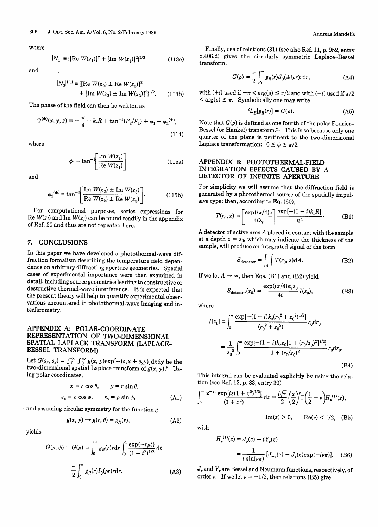where

$$
|N_1| \equiv \{ [\text{Re } W(z_1)]^2 + [\text{Im } W(z_1)]^2 \}^{1/2} \tag{113a}
$$

and

$$
|N_2|^{(\pm)} \equiv \{ [\text{Re } W(z_2) \pm \text{Re } W(z_3)]^2 + [\text{Im } W(z_2) \pm \text{Im } W(z_3)]^2 \}^{1/2}.
$$
 (113b) with (+i) used if  $-\pi < \arg(\rho) \le \pi/2$  and w

The phase of the field can then be written as

$$
\Psi^{(\pm)}(x, y, z) = -\frac{\pi}{4} + k_s R + \tan^{-1}(F_2/F_1) + \phi_1 + \phi_2^{(\pm)},
$$
\n(114)

where

$$
\phi_1 \equiv \tan^{-1} \left[ \frac{\text{Im } W(z_1)}{\text{Re } W(z_1)} \right] \tag{115a}
$$

and

$$
\phi_2^{(\pm)} \equiv \tan^{-1} \left[ \frac{\text{Im } W(z_2) \pm \text{Im } W(z_3)}{\text{Re } W(z_2) \pm \text{Re } W(z_3)} \right]. \tag{115b}
$$

For computational purposes, series expressions for Re  $W(z_i)$  and Im  $W(z_i)$  can be found readily in the appendix of Ref. 20 and thus are not repeated here.

#### 7. **CONCLUSIONS**

In this paper we have developed a photothermal-wave diffraction formalism describing the temperature field dependence on arbitrary diffracting aperture geometries. Special cases of experimental importance were then examined in detail, including source geometries leading to constructive or destructive thermal-wave interference. It is expected that the present theory will help to quantify experimental observations encountered in photothermal-wave imaging and interferometry.

## **APPENDIX A: POLAR-COORDINATE REPRESENTATION OF TWO-DIMENSIONAL SPATIAL LAPLACE TRANSFORM (LAPLACE-BESSEL TRANSFORM)**

Let  $G(s_x, s_y) = \int_0^\infty \int_0^\infty g(x, y) \exp[-(s_x x + s_y y)] dx dy$  be the two-dimensional spatial Laplace transform of  $g(x, y)$ .<sup>8</sup> Using polar coordinates,

$$
x = r \cos \theta, \qquad y = r \sin \theta,
$$
  

$$
s_x = \rho \cos \phi, \qquad s_y = \rho \sin \phi,
$$
 (A1)

and assuming circular symmetry for the function  $g$ ,

$$
g(x, y) \to g(r, \theta) = g_R(r), \tag{A2}
$$

yields

$$
G(\rho, \phi) = G(\rho) = \int_0^\infty g_R(r) r \mathrm{d}r \int_0^1 \frac{\exp(-r\rho t)}{(1 - t^2)^{1/2}} \mathrm{d}t
$$

$$
= \frac{\pi}{2} \int_0^\infty g_R(r) I_0(\rho r) r \mathrm{d}r. \tag{A3}
$$

Finally, use of relations (31) (see also Ref. 11, p. 952, entry 8.406.2) gives the circularly symmetric Laplace-Bessel transform,

$$
G(\rho) = \frac{\pi}{2} \int_0^\infty g_R(r) J_0(\pm i \rho r) r \mathrm{d}r,\tag{A4}
$$

with  $(+i)$  used if  $-\pi < arg(\rho) \leq \pi/2$  and with  $(-i)$  used if  $\pi/2$  $\langle \arg(\rho) \leq \pi$ . Symbolically one may write

$$
{}^2L_B[g_R(r)] = G(\rho). \tag{A5}
$$

Note that  $G(\rho)$  is defined as one fourth of the polar Fourier-Bessel (or Hankel) transform.<sup>21</sup> This is so because only one quarter of the plane is pertinent to the two-dimensional Laplace transformation:  $0 \le \phi \le \pi/2$ .

## APPENDIX B: PHOTOTHERMAL-FIELD INTEGRATION EFFECTS CAUSED BY A DETECTOR OF INFINITE APERTURE

For simplicity we will assume that the diffraction field is generated by a photothermal source of the spatially impulsive type; then, according to Eq. (60),

$$
T(r_0, z) = \left[\frac{\exp(i\pi/4)z}{4i\lambda_t}\right] \frac{\exp[-(1-i)k_s R]}{R^2}.
$$
 (B1)

A detector of active area A placed in contact with the sample at a depth  $z = z_0$ , which may indicate the thickness of the sample, will produce an integrated signal of the form

$$
S_{\text{detector}} = \int_{A} \int T(r_0, z) dA. \tag{B2}
$$

If we let  $A \rightarrow \infty$ , then Eqs. (B1) and (B2) yield

$$
S_{\text{detector}}(z_0) = \frac{\exp(i\pi/4)k_s z_0}{4i} I(z_0),\tag{B3}
$$

where

$$
I(z_0) = \int_0^\infty \frac{\exp[-(1-i)k_s(r_0^2 + z_0^2)^{1/2}]}{(r_0^2 + z_0^2)} r_0 dr_0
$$
  
= 
$$
\frac{1}{z_0^2} \int_0^\infty \frac{\exp[-(1-i)k_s z_0[1 + (r_0/z_0)^2]^{1/2}]}{1 + (r_0/z_0)^2} r_0 dr_0.
$$
 (B4)

This integral can be evaluated explicitly by using the relation (see Ref. 12, p. 83, entry 30)

$$
\int_0^\infty \frac{x^{-2\nu} \exp[iz(1+x^2)^{1/2}]}{(1+x^2)} dx = \frac{i\sqrt{\pi}}{2} \left(\frac{z}{2}\right)^{\nu} \Gamma\left(\frac{1}{2}-\nu\right) H_{\nu}^{(1)}(z),
$$

with

$$
H_{\nu}^{(1)}(z) = J_{\nu}(z) + iY_{\nu}(z)
$$
  
= 
$$
\frac{1}{i \sin(\nu \pi)} [J_{-\nu}(z) - J_{\nu}(z) \exp(-i\nu \pi)].
$$
 (B6)

 $\text{Im}(z) > 0$ ,  $\text{Re}(y) < 1/2$ , (B5)

 $J_{\nu}$  and  $Y_{\nu}$  are Bessel and Neumann functions, respectively, of order *v*. If we let  $\nu = -1/2$ , then relations (B5) give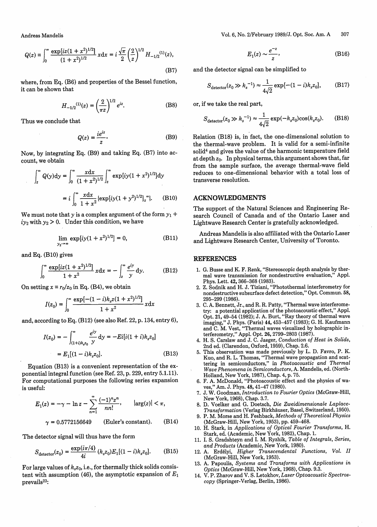Andreas Mandelis

$$
Q(z) \equiv \int_0^\infty \frac{\exp[iz(1+x^2)^{1/2}]}{(1+x^2)^{1/2}} x \, dx = i \frac{\sqrt{\pi}}{2} \left(\frac{2}{z}\right)^{1/2} H_{-1/2}^{(1)}(z),\tag{B7}
$$

where, from Eq. (B6) and properties of the Bessel function, it can be shown that

$$
H_{-1/2}^{(1)}(z) = \left(\frac{2}{\pi z}\right)^{1/2} e^{iz}.
$$
 (B8)

Thus we conclude that

$$
Q(z) = \frac{ie^{iz}}{z}.
$$
 (B9)

Now, by integrating Eq. (B9) and taking Eq. (B7) into account, we obtain

$$
\int_{z}^{\infty} Q(y) dy = \int_{0}^{\infty} \frac{x dx}{(1+x^2)^{1/2}} \int_{z}^{\infty} \exp[iy(1+x^2)^{1/2}] dy
$$

$$
= i \int_{0}^{\infty} \frac{x dx}{1+x^2} \{exp[iy(1+y^2)^{1/2}]_{z}^{\infty} \}, \quad (B10)
$$

We must note that y is a complex argument of the form  $y_1 +$  $iy_2$  with  $y_2 > 0$ . Under this condition, we have

$$
\lim_{y_2 \to \infty} \exp[i y (1 + x^2)^{1/2}] = 0,
$$
 (B11)

and Eq. (B10) gives

$$
\int_0^\infty \frac{\exp[iz(1+x^2)^{1/2}]}{1+x^2} \, x \, dx = -\int_z^\infty \frac{e^{iy}}{y} \, dy. \tag{B12}
$$

On setting  $x \equiv r_0/z_0$  in Eq. (B4), we obtain

$$
I(z_0) = \int_0^\infty \frac{\exp[-(1-i)k_s z(1+x^2)^{1/2}]}{1+x^2} x \mathrm{d}x
$$

and, according to Eq. (B12) (see also Ref. 22, p. 134, entry 6),

$$
I(z_0) = -\int_{(1+i)k_s z_0}^{\infty} \frac{e^{iy}}{y} dy = -Ei[i(1+i)k_s z_0]
$$

$$
= E_1[(1-i)k_s z_0].
$$
(B13)

Equation (B13) is a convenient representation of the exponential integral function (see Ref. 23, p. 229, entry 5.1.11). For computational purposes the following series expansion is useful:  $E_1[(1-i)k_z\delta_0]$ <br>  $= E_1[(1-i)k_z\delta_0]$ . (B13) 5. This observation was and controlled the second on the ex-<br>
integral function (see Ref. 23, p. 229, entry 5.1.11).<br>
S. This observation was a convenient representation of the e

$$
E_1(z) = -\gamma - \ln z - \sum_{n=1}^{\infty} \frac{(-1)^n z^n}{n n!}, \qquad |\arg(z)| < \pi,
$$
  

$$
\gamma = 0.5772156649 \qquad \text{(Euler's constant)}.
$$
 (B14)

The detector signal will thus have the form

$$
S_{\text{detector}}(z_0) = \frac{\exp(i\pi/4)}{4i} \left(k_s z_0\right) E_1[(1-i)k_s z_0]. \tag{B15}
$$

For large values of  $k_s z_0$ , i.e., for thermally thick solids consistent with assumption (46), the asymptotic expansion of *El* prevails<sup>23</sup>:

2/February 1989/J. Opt. Soc. Am. A  
\n
$$
E_1(z) \sim \frac{e^{-z}}{z}
$$
, (B16)  
\n $E_2(z) \sim \frac{e^{-z}}{z}$ 

and the detector signal can be simplified to

$$
S_{\text{detector}}(z_0 \gg k_s^{-1}) \approx \frac{1}{4\sqrt{2}} \exp[-(1-i)k_s z_0], \quad (B17)
$$

or, if we take the real part,

$$
S_{\text{detector}}(z_0 \gg k_s^{-1}) \approx \frac{1}{4\sqrt{2}} \exp(-k_s z_0) \cos(k_s z_0). \tag{B18}
$$

Relation (B18) is, in fact, the one-dimensional solution to the thermal-wave problem. It is valid for a semi-infinite solid<sup>4</sup> and gives the value of the harmonic temperature field at depth  $z_0$ . In physical terms, this argument shows that, far from the sample surface, the average thermal-wave field reduces to one-dimensional behavior with a total loss of transverse resolution.

#### ACKNOWLEDGMENTS

The support of the Natural Sciences and Engineering Research Council of Canada and of the Ontario Laser and Lightwave Research Center is gratefully acknowledged.

Andreas Mandelis is also affiliated with the Ontario Laser and Lightwave Research Center, University of Toronto.

#### REFERENCES

- 1. G. Busse and K. F. Renk, "Stereoscopic depth analysis by thermal wave transmission for nondestructive evaluation," Appl. Phys. Lett. 42, 366-368 (1983).
- 2. Z. Sodnik and H. J. Tiziani, "Photothermal interferometry for nondestructive subsurface defect detection," Opt. Commun. 58, 295-299 (1986).
- 3. C. A. Bennett, Jr., and R. R. Patty, "Thermal wave interferometry: a potential application of the photoacoustic effect," Appl. Opt. 21, 49-54 (1982); J. A. Burt, "Ray theory of thermal wave imaging," J. Phys. (Paris) 44, 453–457 (1983); G. H. Kaufman and C. M. Vest, "Thermal waves visualized by holographic interferometry," Appl. Opt. 26, 2799-2803 (1987).
- 4. H. S. Carslaw and J. C. Jaeger, *Conduction of Heat in Solids,* 2nd ed. (Clarendon, Oxford, 1959), Chap. 2.6.
- $J_{(1+i)k_zz_0}$   $y$ <br>  $\frac{1}{2}$ <br>  $\frac{1}{2}$ <br>  $\frac{1}{2}$ <br>  $\frac{1}{2}$ <br>  $\frac{1}{2}$ <br>  $\frac{1}{2}$ <br>  $\frac{1}{2}$ <br>  $\frac{1}{2}$ <br>  $\frac{1}{2}$ <br>  $\frac{1}{2}$ <br>  $\frac{1}{2}$ <br>  $\frac{1}{2}$ <br>  $\frac{1}{2}$ <br>  $\frac{1}{2}$ <br>  $\frac{1}{2}$ <br>  $\frac{1}{2}$ <br>  $\frac{1}{2}$ <br>  $\frac{1}{2}$ <br>  $\frac$ 5. This observation was made previously by L. D. Favro, P. K. Kuo, and R. L. Thomas, "Thermal wave propagation and scattering in semiconductors," in *Photoacoustic and Thermal Wave Phenomena in Semiconductors,* A. Mandelis, ed. (North-Holland, New York, 1987), Chap. 4, p. 75.
	- 6. F. A. McDonald, "Photoacoustic effect and the physics of waves," Am. J. Phys. 48, 41-47 (1980).
	- 7. J. W. Goodman, *Introduction to Fourier Optics* (McGraw-Hill, New York, 1968), Chap. 3.7.
	- 8. D. Voelker and G. Doetsch, *Die Zweidimensionale Laplace-Transformation* (Verlag Birkhauser, Basel, Switzerland, 1950).
	- 9. P. M. Morse and H. Feshback, *Methods of Theoretical Physics* (McGraw-Hill, New York, 1953), pp. 459-468.
	- 10. H. Stark, in *Applications of Optical Fourier Transforms,* H. Stark, ed. (Academic, New York, 1982), Chap. 1.
	- 11. I. S. Gradshteyn and I. M. Ryzhik, *Table of Integrals, Series, and Products* (Academic, New York, 1980).
	- 12. A. Erdelyi, *Higher Transcendental Functions, Vol. II* (McGraw-Hill, New York, 1953).
	- 13. A. Papoulis, *Systems and Transforms with Applications in Optics* (McGraw-Hill, New York, 1968), Chap. 9.3.
	- 14. V. P. Zharov and V. S. Letokhov, *Laser Optoacoustic Spectroscopy* (Springer-Verlag, Berlin, 1986).